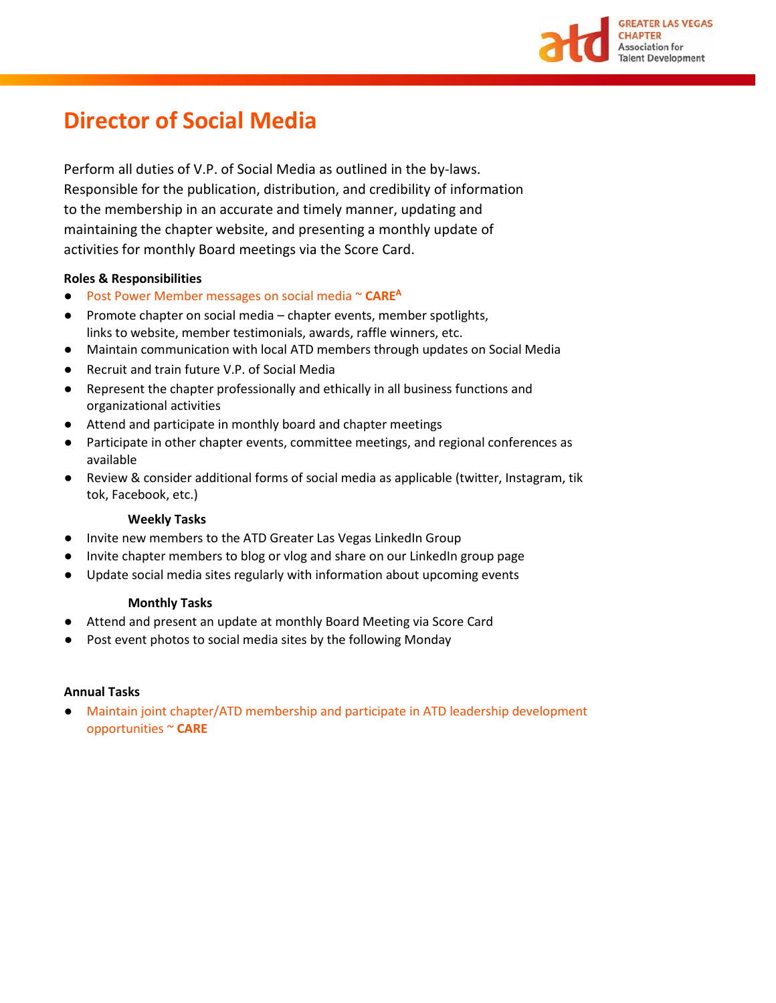

# **Director of Social Media**

Perform all duties of V.P. of Social Media as outlined in the by-laws. Responsible for the publication, distribution, and credibility of information to the membership in an accurate and timely manner, updating and maintaining the chapter website, and presenting a monthly update of activities for monthly Board meetings via the Score Card.

## **Roles & Responsibilities**

- Post Power Member messages on social media ~ **CAREA**
- Promote chapter on social media chapter events, member spotlights, links to website, member testimonials, awards, raffle winners, etc.
- Maintain communication with local ATD members through updates on Social Media
- Recruit and train future V.P. of Social Media
- Represent the chapter professionally and ethically in all business functions and organizational activities
- Attend and participate in monthly board and chapter meetings
- Participate in other chapter events, committee meetings, and regional conferences as available
- Review & consider additional forms of social media as applicable (twitter, Instagram, tik tok, Facebook, etc.)

### **Weekly Tasks**

- Invite new members to the ATD Greater Las Vegas LinkedIn Group
- Invite chapter members to blog or vlog and share on our LinkedIn group page
- Update social media sites regularly with information about upcoming events

### **Monthly Tasks**

- Attend and present an update at monthly Board Meeting via Score Card
- Post event photos to social media sites by the following Monday

### **Annual Tasks**

Maintain joint chapter/ATD membership and participate in ATD leadership development opportunities ~ **CARE**